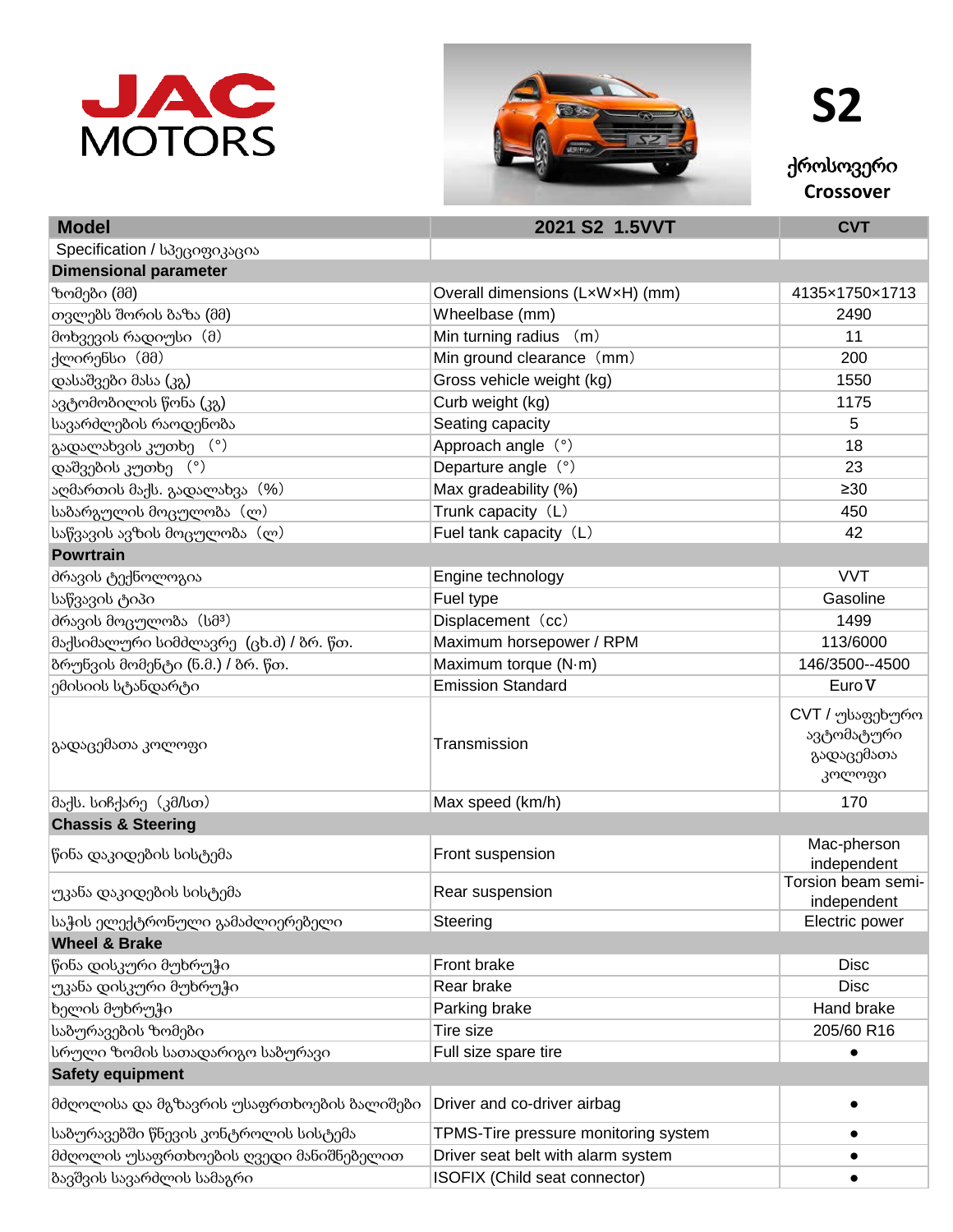



**S2**

ქროსოვერი **Crossover**

| <b>Model</b>                               | 2021 S2 1.5VVT                       | <b>CVT</b>                                            |
|--------------------------------------------|--------------------------------------|-------------------------------------------------------|
| Specification / სპეციფიკაცია               |                                      |                                                       |
| <b>Dimensional parameter</b>               |                                      |                                                       |
| ზომები (მმ)                                | Overall dimensions (LxWxH) (mm)      | 4135×1750×1713                                        |
| თვლებს შორის ბაზა (მმ)                     | Wheelbase (mm)                       | 2490                                                  |
| მოხვევის რადიუსი (მ)                       | Min turning radius (m)               | 11                                                    |
| ქლირენსი (მმ)                              | Min ground clearance (mm)            | 200                                                   |
| დასაშვები მასა (კგ)                        | Gross vehicle weight (kg)            | 1550                                                  |
| ავტომობილის წონა (კგ)                      | Curb weight (kg)                     | 1175                                                  |
| სავარძლების რაოდენობა                      | Seating capacity                     | 5                                                     |
| გადალახვის კუთხე (°)                       | Approach angle (°)                   | 18                                                    |
| დაშვების კუთხე (°)                         | Departure angle (°)                  | 23                                                    |
| აღმართის მაქს. გადალახვა (%)               | Max gradeability (%)                 | $\geq 30$                                             |
| საბარგულის მოცულობა(ლ)                     | Trunk capacity (L)                   | 450                                                   |
| საწვავის ავზის მოცულობა (ლ)                | Fuel tank capacity (L)               | 42                                                    |
| <b>Powrtrain</b>                           |                                      |                                                       |
| <u> </u> ძრავის ტექნოლოგია                 | Engine technology                    | <b>VVT</b>                                            |
| საწვავის ტიპი                              | Fuel type                            | Gasoline                                              |
| ძრავის მოცულობა(სმ <sup>3</sup> )          | Displacement (cc)                    | 1499                                                  |
| მაქსიმალური სიმძლავრე (ცხ.ძ) / ბრ. წთ.     | Maximum horsepower / RPM             | 113/6000                                              |
| ბრუნვის მომენტი (ნ.მ.) / ბრ. წთ.           | Maximum torque (N·m)                 | 146/3500--4500                                        |
| ემისიის სტანდარტი                          | <b>Emission Standard</b>             | Euro <sub>V</sub>                                     |
| გადაცემათა კოლოფი                          | Transmission                         | CVT / უსაფეხურო<br>ავტომატური<br>გადაცემათა<br>კოლოფი |
| მაქს. სიჩქარე (კმ/სთ)                      | Max speed (km/h)                     | 170                                                   |
| <b>Chassis &amp; Steering</b>              |                                      |                                                       |
| წინა დაკიდების სისტემა                     | <b>Front suspension</b>              | Mac-pherson<br>independent                            |
| უკანა დაკიდების სისტემა                    | Rear suspension                      | Torsion beam semi-<br>independent                     |
| საჭის ელექტრონული გამაძლიერებელი           | Steering                             | Electric power                                        |
| <b>Wheel &amp; Brake</b>                   |                                      |                                                       |
| წინა დისკური მუხრუჭი                       | <b>Front brake</b>                   | <b>Disc</b>                                           |
| უკანა დისკური მუხრუჭი                      | Rear brake                           | <b>Disc</b>                                           |
| ხელის მუხრუჭი                              | Parking brake                        | Hand brake                                            |
| საბურავების ზომები                         | Tire size                            | 205/60 R16                                            |
| სრული ზომის სათადარიგო საბურავი            | Full size spare tire                 | $\bullet$                                             |
| <b>Safety equipment</b>                    |                                      |                                                       |
| მძღოლისა და მგზავრის უსაფრთხოების ბალიშები | Driver and co-driver airbag          | $\bullet$                                             |
| საბურავებში წნევის კონტროლის სისტემა       | TPMS-Tire pressure monitoring system | $\bullet$                                             |
| მძღოლის უსაფრთხოების ღვედი მანიშნებელით    | Driver seat belt with alarm system   |                                                       |
| ბავშვის სავარძლის სამაგრი                  | <b>ISOFIX (Child seat connector)</b> |                                                       |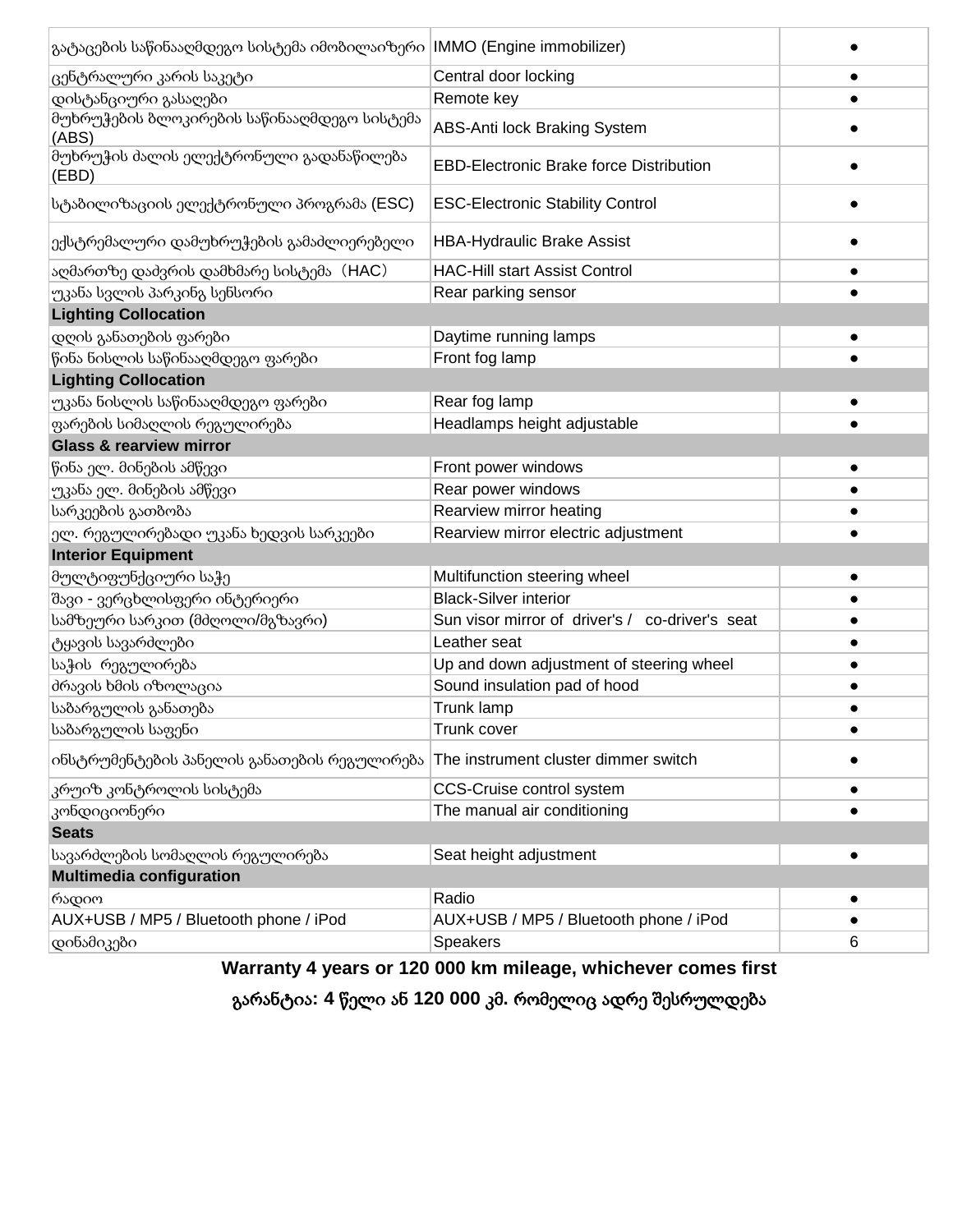| გატაცების საწინააღმდეგო სისტემა იმობილაიზერი  IMMO (Engine immobilizer) |                                                 |           |  |
|-------------------------------------------------------------------------|-------------------------------------------------|-----------|--|
| ცენტრალური კარის საკეტი                                                 | Central door locking                            |           |  |
| დისტანციური გასაღები                                                    | Remote key                                      |           |  |
| მუხრუჭების ბლოკირების საწინააღმდეგო სისტემა<br>(ABS)                    | <b>ABS-Anti lock Braking System</b>             |           |  |
| მუხრუჭის ძალის ელექტრონული გადანაწილება<br>(EBD)                        | <b>EBD-Electronic Brake force Distribution</b>  |           |  |
| სტაბილიზაციის ელექტრონული პროგრამა (ESC)                                | <b>ESC-Electronic Stability Control</b>         |           |  |
| ექსტრემალური დამუხრუჭების გამაძლიერებელი                                | <b>HBA-Hydraulic Brake Assist</b>               |           |  |
| აღმართზე დაძვრის დამხმარე სისტემა (HAC)                                 | <b>HAC-Hill start Assist Control</b>            | $\bullet$ |  |
| უკანა სვლის პარკინგ სენსორი                                             | Rear parking sensor                             |           |  |
| <b>Lighting Collocation</b>                                             |                                                 |           |  |
| დღის განათების ფარები                                                   | Daytime running lamps                           | $\bullet$ |  |
| წინა ნისლის საწინააღმდეგო ფარები                                        | Front fog lamp                                  |           |  |
| <b>Lighting Collocation</b>                                             |                                                 |           |  |
| უკანა ნისლის საწინააღმდეგო ფარები                                       | Rear fog lamp                                   |           |  |
| ფარების სიმაღლის რეგულირება                                             | Headlamps height adjustable                     |           |  |
| <b>Glass &amp; rearview mirror</b>                                      |                                                 |           |  |
| წინა ელ. მინების ამწევი                                                 | Front power windows                             | $\bullet$ |  |
| უკანა ელ. მინების ამწევი                                                | Rear power windows                              | $\bullet$ |  |
| სარკეების გათბობა                                                       | Rearview mirror heating                         |           |  |
| ელ. რეგულირებადი უკანა ხედვის სარკეები                                  | Rearview mirror electric adjustment             |           |  |
| <b>Interior Equipment</b>                                               |                                                 |           |  |
| მულტიფუნქციური საჭე                                                     | Multifunction steering wheel                    |           |  |
| შავი - ვერცხლისფერი ინტერიერი                                           | <b>Black-Silver interior</b>                    |           |  |
| სამზეური სარკით (მძღოლი/მგზავრი)                                        | Sun visor mirror of driver's / co-driver's seat |           |  |
| ტყავის სავარძლები                                                       | Leather seat                                    | $\bullet$ |  |
| საჭის რეგულირება                                                        | Up and down adjustment of steering wheel        | $\bullet$ |  |
| მრავის ხმის იზოლაცია                                                    | Sound insulation pad of hood                    | $\bullet$ |  |
| საბარგულის განათება                                                     | Trunk lamp                                      | $\bullet$ |  |
| საბარგულის საფენი                                                       | Trunk cover                                     | $\bullet$ |  |
| ინსტრუმენტების პანელის განათების რეგულირება                             | The instrument cluster dimmer switch            |           |  |
| კრუიზ კონტროლის სისტემა                                                 | <b>CCS-Cruise control system</b>                | $\bullet$ |  |
| კონდიციონერი                                                            | The manual air conditioning                     |           |  |
| <b>Seats</b>                                                            |                                                 |           |  |
| სავარძლების სომაღლის რეგულირება                                         | Seat height adjustment                          |           |  |
| <b>Multimedia configuration</b>                                         |                                                 |           |  |
| რადიო                                                                   | Radio                                           | $\bullet$ |  |
| AUX+USB / MP5 / Bluetooth phone / iPod                                  | AUX+USB / MP5 / Bluetooth phone / iPod          |           |  |
| დინამიკები                                                              | <b>Speakers</b>                                 | 6         |  |

 **Warranty 4 years or 120 000 km mileage, whichever comes first**

გარანტია**: 4** წელი ან **120 000** კმ**.** რომელიც ადრე შესრულდება